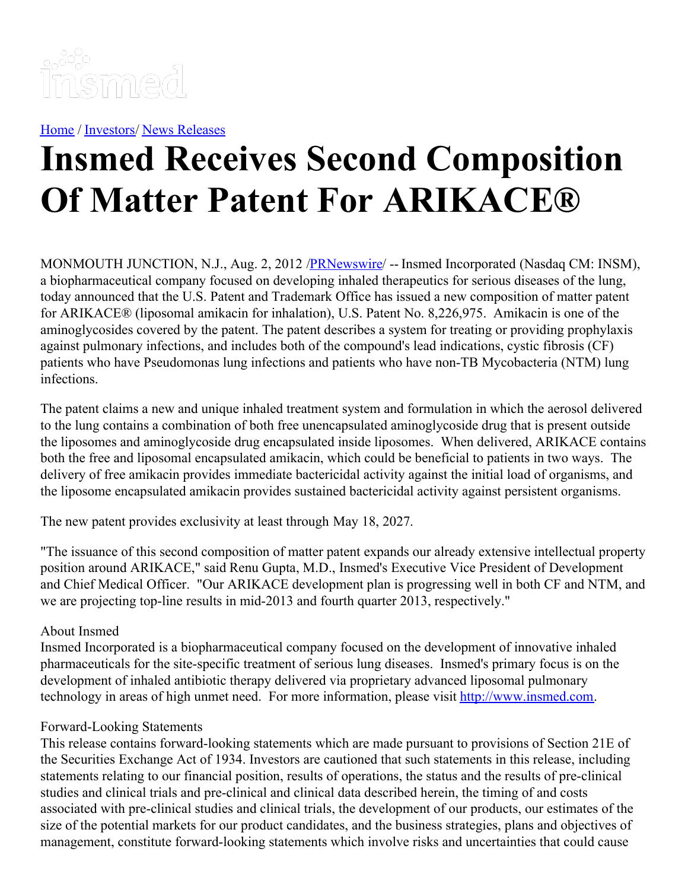

[Home](https://insmed.com/) / [Investors](https://investor.insmed.com/index)/ News [Releases](https://investor.insmed.com/releases)

## **Insmed Receives Second Composition Of Matter Patent For ARIKACE®**

MONMOUTH JUNCTION, N.J., Aug. 2, 2012 /**PRNewswire/** -- Insmed Incorporated (Nasdaq CM: INSM), a biopharmaceutical company focused on developing inhaled therapeutics for serious diseases of the lung, today announced that the U.S. Patent and Trademark Office has issued a new composition of matter patent for ARIKACE® (liposomal amikacin for inhalation), U.S. Patent No. 8,226,975. Amikacin is one of the aminoglycosides covered by the patent. The patent describes a system for treating or providing prophylaxis against pulmonary infections, and includes both of the compound's lead indications, cystic fibrosis (CF) patients who have Pseudomonas lung infections and patients who have non-TB Mycobacteria (NTM) lung infections.

The patent claims a new and unique inhaled treatment system and formulation in which the aerosol delivered to the lung contains a combination of both free unencapsulated aminoglycoside drug that is present outside the liposomes and aminoglycoside drug encapsulated inside liposomes. When delivered, ARIKACE contains both the free and liposomal encapsulated amikacin, which could be beneficial to patients in two ways. The delivery of free amikacin provides immediate bactericidal activity against the initial load of organisms, and the liposome encapsulated amikacin provides sustained bactericidal activity against persistent organisms.

The new patent provides exclusivity at least through May 18, 2027.

"The issuance of this second composition of matter patent expands our already extensive intellectual property position around ARIKACE," said Renu Gupta, M.D., Insmed's Executive Vice President of Development and Chief Medical Officer. "Our ARIKACE development plan is progressing well in both CF and NTM, and we are projecting top-line results in mid-2013 and fourth quarter 2013, respectively."

## About Insmed

Insmed Incorporated is a biopharmaceutical company focused on the development of innovative inhaled pharmaceuticals for the site-specific treatment of serious lung diseases. Insmed's primary focus is on the development of inhaled antibiotic therapy delivered via proprietary advanced liposomal pulmonary technology in areas of high unmet need. For more information, please visit [http://www.insmed.com](http://www.insmed.com/).

## Forward-Looking Statements

This release contains forward-looking statements which are made pursuant to provisions of Section 21E of the Securities Exchange Act of 1934. Investors are cautioned that such statements in this release, including statements relating to our financial position, results of operations, the status and the results of pre-clinical studies and clinical trials and pre-clinical and clinical data described herein, the timing of and costs associated with pre-clinical studies and clinical trials, the development of our products, our estimates of the size of the potential markets for our product candidates, and the business strategies, plans and objectives of management, constitute forward-looking statements which involve risks and uncertainties that could cause